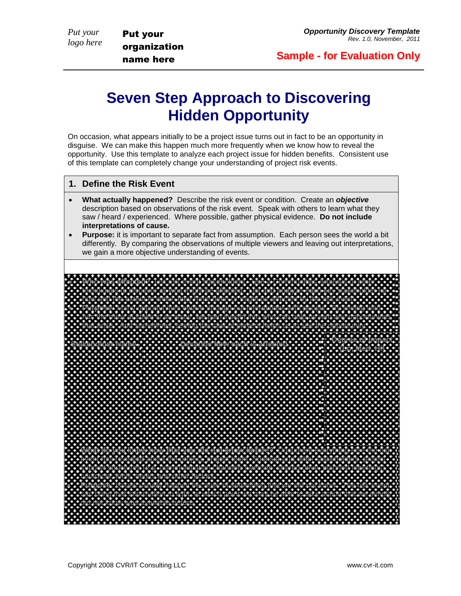*Put your logo here* Put your

organization name here

## **Seven Step Approach to Discovering Hidden Opportunity**

On occasion, what appears initially to be a project issue turns out in fact to be an opportunity in disguise. We can make this happen much more frequently when we know how to reveal the opportunity. Use this template to analyze each project issue for hidden benefits. Consistent use of this template can completely change your understanding of project risk events.

## **1. Define the Risk Event**

- **What actually happened?** Describe the risk event or condition. Create an *objective* description based on observations of the risk event. Speak with others to learn what they saw / heard / experienced. Where possible, gather physical evidence. **Do not include interpretations of cause.**
- **Purpose:** it is important to separate fact from assumption. Each person sees the world a bit differently. By comparing the observations of multiple viewers and leaving out interpretations, we gain a more objective understanding of events.

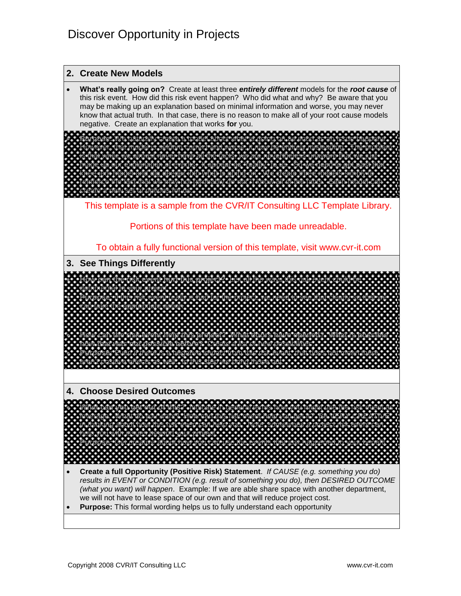

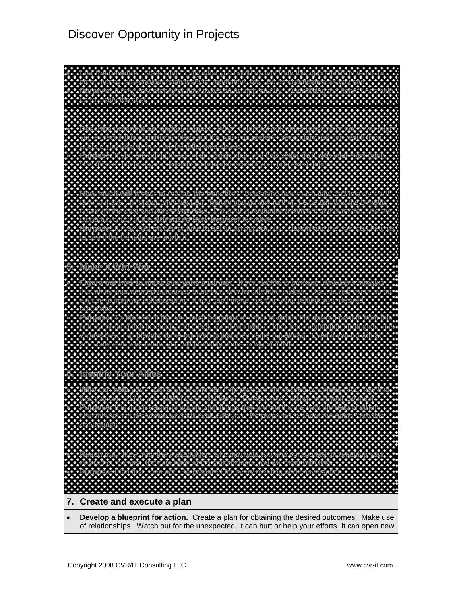## Discover Opportunity in Projects



 **Develop a blueprint for action.** Create a plan for obtaining the desired outcomes. Make use of relationships. Watch out for the unexpected; it can hurt or help your efforts. It can open new